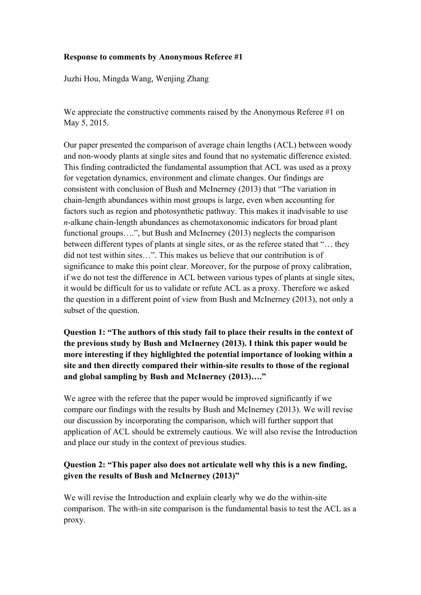### **Response to comments by Anonymous Referee #1**

Juzhi Hou, Mingda Wang, Wenjing Zhang

We appreciate the constructive comments raised by the Anonymous Referee #1 on May 5, 2015.

Our paper presented the comparison of average chain lengths (ACL) between woody and non-woody plants at single sites and found that no systematic difference existed. This finding contradicted the fundamental assumption that ACL was used as a proxy for vegetation dynamics, environment and climate changes. Our findings are consistent with conclusion of Bush and McInerney (2013) that "The variation in chain-length abundances within most groups is large, even when accounting for factors such as region and photosynthetic pathway. This makes it inadvisable to use *n*-alkane chain-length abundances as chemotaxonomic indicators for broad plant functional groups….", but Bush and McInerney (2013) neglects the comparison between different types of plants at single sites, or as the referee stated that "… they did not test within sites…". This makes us believe that our contribution is of significance to make this point clear. Moreover, for the purpose of proxy calibration, if we do not test the difference in ACL between various types of plants at single sites, it would be difficult for us to validate or refute ACL as a proxy. Therefore we asked the question in a different point of view from Bush and McInerney (2013), not only a subset of the question.

**Question 1: "The authors of this study fail to place their results in the context of the previous study by Bush and McInerney (2013). I think this paper would be more interesting if they highlighted the potential importance of looking within a site and then directly compared their within-site results to those of the regional and global sampling by Bush and McInerney (2013)…."**

We agree with the referee that the paper would be improved significantly if we compare our findings with the results by Bush and McInerney (2013). We will revise our discussion by incorporating the comparison, which will further support that application of ACL should be extremely cautious. We will also revise the Introduction and place our study in the context of previous studies.

## **Question 2: "This paper also does not articulate well why this is a new finding, given the results of Bush and McInerney (2013)"**

We will revise the Introduction and explain clearly why we do the within-site comparison. The with-in site comparison is the fundamental basis to test the ACL as a proxy.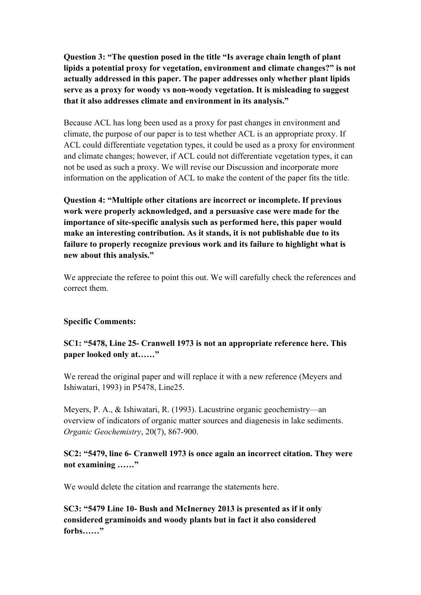**Question 3: "The question posed in the title "Is average chain length of plant lipids a potential proxy for vegetation, environment and climate changes?" is not actually addressed in this paper. The paper addresses only whether plant lipids serve as a proxy for woody vs non-woody vegetation. It is misleading to suggest that it also addresses climate and environment in its analysis."**

Because ACL has long been used as a proxy for past changes in environment and climate, the purpose of our paper is to test whether ACL is an appropriate proxy. If ACL could differentiate vegetation types, it could be used as a proxy for environment and climate changes; however, if ACL could not differentiate vegetation types, it can not be used as such a proxy. We will revise our Discussion and incorporate more information on the application of ACL to make the content of the paper fits the title.

**Question 4: "Multiple other citations are incorrect or incomplete. If previous work were properly acknowledged, and a persuasive case were made for the importance of site-specific analysis such as performed here, this paper would make an interesting contribution. As it stands, it is not publishable due to its failure to properly recognize previous work and its failure to highlight what is new about this analysis."**

We appreciate the referee to point this out. We will carefully check the references and correct them.

#### **Specific Comments:**

**SC1: "5478, Line 25- Cranwell 1973 is not an appropriate reference here. This paper looked only at……"**

We reread the original paper and will replace it with a new reference (Meyers and Ishiwatari, 1993) in P5478, Line25.

Meyers, P. A., & Ishiwatari, R. (1993). Lacustrine organic geochemistry—an overview of indicators of organic matter sources and diagenesis in lake sediments. *Organic Geochemistry*, 20(7), 867-900.

## **SC2: "5479, line 6- Cranwell 1973 is once again an incorrect citation. They were not examining ……"**

We would delete the citation and rearrange the statements here.

**SC3: "5479 Line 10- Bush and McInerney 2013 is presented as if it only considered graminoids and woody plants but in fact it also considered forbs……"**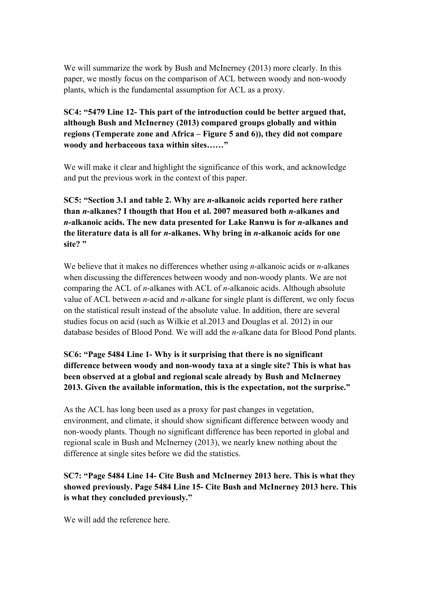We will summarize the work by Bush and McInerney (2013) more clearly. In this paper, we mostly focus on the comparison of ACL between woody and non-woody plants, which is the fundamental assumption for ACL as a proxy.

**SC4: "5479 Line 12- This part of the introduction could be better argued that, although Bush and McInerney (2013) compared groups globally and within regions (Temperate zone and Africa – Figure 5 and 6)), they did not compare woody and herbaceous taxa within sites……"** 

We will make it clear and highlight the significance of this work, and acknowledge and put the previous work in the context of this paper.

**SC5: "Section 3.1 and table 2. Why are** *n***-alkanoic acids reported here rather than** *n***-alkanes? I thougth that Hou et al. 2007 measured both** *n***-alkanes and**  *n***-alkanoic acids. The new data presented for Lake Ranwu is for** *n***-alkanes and the literature data is all for** *n***-alkanes. Why bring in** *n***-alkanoic acids for one site? "**

We believe that it makes no differences whether using *n*-alkanoic acids or *n*-alkanes when discussing the differences between woody and non-woody plants. We are not comparing the ACL of *n*-alkanes with ACL of *n*-alkanoic acids. Although absolute value of ACL between *n*-acid and *n*-alkane for single plant is different, we only focus on the statistical result instead of the absolute value. In addition, there are several studies focus on acid (such as Wilkie et al.2013 and Douglas et al. 2012) in our database besides of Blood Pond. We will add the *n*-alkane data for Blood Pond plants.

**SC6: "Page 5484 Line 1- Why is it surprising that there is no significant difference between woody and non-woody taxa at a single site? This is what has been observed at a global and regional scale already by Bush and McInerney 2013. Given the available information, this is the expectation, not the surprise."** 

As the ACL has long been used as a proxy for past changes in vegetation, environment, and climate, it should show significant difference between woody and non-woody plants. Though no significant difference has been reported in global and regional scale in Bush and McInerney (2013), we nearly knew nothing about the difference at single sites before we did the statistics.

# **SC7: "Page 5484 Line 14- Cite Bush and McInerney 2013 here. This is what they showed previously. Page 5484 Line 15- Cite Bush and McInerney 2013 here. This is what they concluded previously."**

We will add the reference here.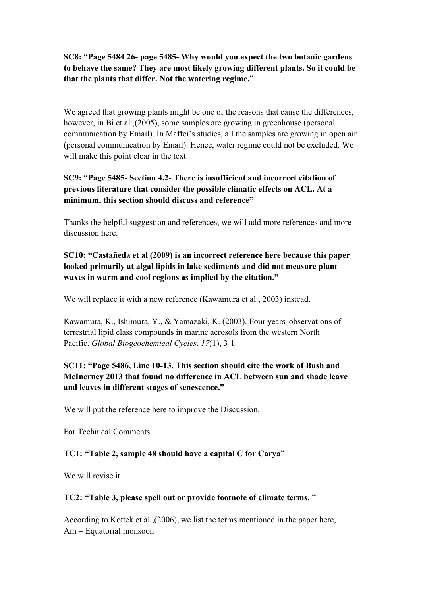**SC8: "Page 5484 26- page 5485- Why would you expect the two botanic gardens to behave the same? They are most likely growing different plants. So it could be that the plants that differ. Not the watering regime."** 

We agreed that growing plants might be one of the reasons that cause the differences, however, in Bi et al., (2005), some samples are growing in greenhouse (personal communication by Email). In Maffei's studies, all the samples are growing in open air (personal communication by Email). Hence, water regime could not be excluded. We will make this point clear in the text.

**SC9: "Page 5485- Section 4.2- There is insufficient and incorrect citation of previous literature that consider the possible climatic effects on ACL. At a minimum, this section should discuss and reference"** 

Thanks the helpful suggestion and references, we will add more references and more discussion here.

**SC10: "Castañeda et al (2009) is an incorrect reference here because this paper looked primarily at algal lipids in lake sediments and did not measure plant waxes in warm and cool regions as implied by the citation."** 

We will replace it with a new reference (Kawamura et al., 2003) instead.

Kawamura, K., Ishimura, Y., & Yamazaki, K. (2003). Four years' observations of terrestrial lipid class compounds in marine aerosols from the western North Pacific. *Global Biogeochemical Cycles*, *17*(1), 3-1.

# **SC11: "Page 5486, Line 10-13, This section should cite the work of Bush and McInerney 2013 that found no difference in ACL between sun and shade leave and leaves in different stages of senescence."**

We will put the reference here to improve the Discussion.

For Technical Comments

### **TC1: "Table 2, sample 48 should have a capital C for Carya"**

We will revise it.

#### **TC2: "Table 3, please spell out or provide footnote of climate terms. "**

According to Kottek et al.,(2006), we list the terms mentioned in the paper here, Am = Equatorial monsoon